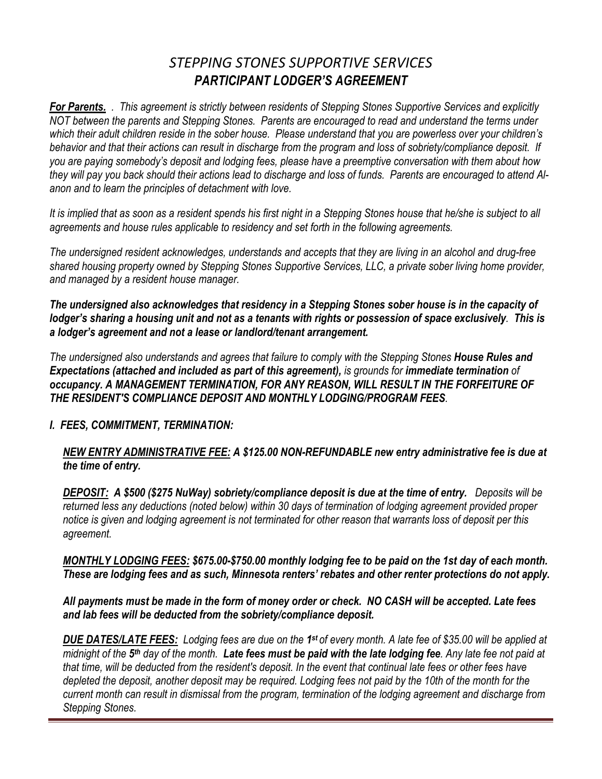# *STEPPING STONES SUPPORTIVE SERVICES PARTICIPANT LODGER'S AGREEMENT*

*For Parents. . This agreement is strictly between residents of Stepping Stones Supportive Services and explicitly NOT between the parents and Stepping Stones. Parents are encouraged to read and understand the terms under which their adult children reside in the sober house. Please understand that you are powerless over your children's behavior and that their actions can result in discharge from the program and loss of sobriety/compliance deposit. If you are paying somebody's deposit and lodging fees, please have a preemptive conversation with them about how they will pay you back should their actions lead to discharge and loss of funds. Parents are encouraged to attend Alanon and to learn the principles of detachment with love.* 

*It is implied that as soon as a resident spends his first night in a Stepping Stones house that he/she is subject to all agreements and house rules applicable to residency and set forth in the following agreements.* 

*The undersigned resident acknowledges, understands and accepts that they are living in an alcohol and drug-free shared housing property owned by Stepping Stones Supportive Services, LLC, a private sober living home provider, and managed by a resident house manager.* 

*The undersigned also acknowledges that residency in a Stepping Stones sober house is in the capacity of lodger's sharing a housing unit and not as a tenants with rights or possession of space exclusively. This is a lodger's agreement and not a lease or landlord/tenant arrangement.* 

*The undersigned also understands and agrees that failure to comply with the Stepping Stones House Rules and Expectations (attached and included as part of this agreement), is grounds for immediate termination of occupancy. A MANAGEMENT TERMINATION, FOR ANY REASON, WILL RESULT IN THE FORFEITURE OF THE RESIDENT'S COMPLIANCE DEPOSIT AND MONTHLY LODGING/PROGRAM FEES.*

## *I. FEES, COMMITMENT, TERMINATION:*

## *NEW ENTRY ADMINISTRATIVE FEE: A \$125.00 NON-REFUNDABLE new entry administrative fee is due at the time of entry.*

*DEPOSIT: A \$500 (\$275 NuWay) sobriety/compliance deposit is due at the time of entry. Deposits will be returned less any deductions (noted below) within 30 days of termination of lodging agreement provided proper notice is given and lodging agreement is not terminated for other reason that warrants loss of deposit per this agreement.*

*MONTHLY LODGING FEES: \$675.00-\$750.00 monthly lodging fee to be paid on the 1st day of each month. These are lodging fees and as such, Minnesota renters' rebates and other renter protections do not apply.* 

*All payments must be made in the form of money order or check. NO CASH will be accepted. Late fees and lab fees will be deducted from the sobriety/compliance deposit.* 

*DUE DATES/LATE FEES: Lodging fees are due on the 1st of every month. A late fee of \$35.00 will be applied at midnight of the 5th day of the month. Late fees must be paid with the late lodging fee. Any late fee not paid at that time, will be deducted from the resident's deposit. In the event that continual late fees or other fees have depleted the deposit, another deposit may be required. Lodging fees not paid by the 10th of the month for the current month can result in dismissal from the program, termination of the lodging agreement and discharge from Stepping Stones.*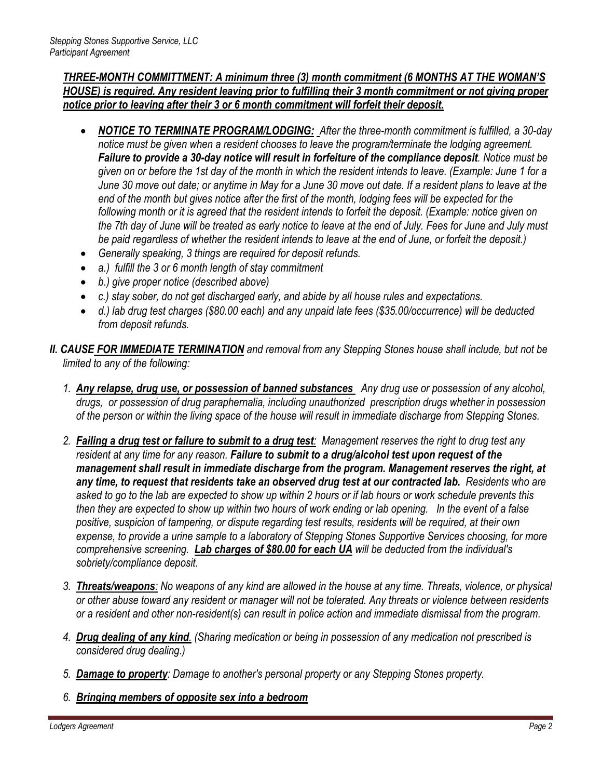## *THREE-MONTH COMMITTMENT: A minimum three (3) month commitment (6 MONTHS AT THE WOMAN'S HOUSE) is required. Any resident leaving prior to fulfilling their 3 month commitment or not giving proper notice prior to leaving after their 3 or 6 month commitment will forfeit their deposit.*

- *NOTICE TO TERMINATE PROGRAM/LODGING: After the three-month commitment is fulfilled, a 30-day notice must be given when a resident chooses to leave the program/terminate the lodging agreement. Failure to provide a 30-day notice will result in forfeiture of the compliance deposit. Notice must be given on or before the 1st day of the month in which the resident intends to leave. (Example: June 1 for a June 30 move out date; or anytime in May for a June 30 move out date. If a resident plans to leave at the end of the month but gives notice after the first of the month, lodging fees will be expected for the following month or it is agreed that the resident intends to forfeit the deposit. (Example: notice given on the 7th day of June will be treated as early notice to leave at the end of July. Fees for June and July must be paid regardless of whether the resident intends to leave at the end of June, or forfeit the deposit.)*
- *Generally speaking, 3 things are required for deposit refunds.*
- *a.) fulfill the 3 or 6 month length of stay commitment*
- *b.) give proper notice (described above)*
- *c.) stay sober, do not get discharged early, and abide by all house rules and expectations.*
- *d.) lab drug test charges (\$80.00 each) and any unpaid late fees (\$35.00/occurrence) will be deducted from deposit refunds.*
- *II. CAUSE FOR IMMEDIATE TERMINATION and removal from any Stepping Stones house shall include, but not be limited to any of the following:*
	- *1. Any relapse, drug use, or possession of banned substances Any drug use or possession of any alcohol, drugs, or possession of drug paraphernalia, including unauthorized prescription drugs whether in possession of the person or within the living space of the house will result in immediate discharge from Stepping Stones.*
	- *2. Failing a drug test or failure to submit to a drug test: Management reserves the right to drug test any resident at any time for any reason. Failure to submit to a drug/alcohol test upon request of the management shall result in immediate discharge from the program. Management reserves the right, at any time, to request that residents take an observed drug test at our contracted lab. Residents who are asked to go to the lab are expected to show up within 2 hours or if lab hours or work schedule prevents this then they are expected to show up within two hours of work ending or lab opening. In the event of a false positive, suspicion of tampering, or dispute regarding test results, residents will be required, at their own expense, to provide a urine sample to a laboratory of Stepping Stones Supportive Services choosing, for more comprehensive screening. Lab charges of \$80.00 for each UA will be deducted from the individual's sobriety/compliance deposit.*
	- *3. Threats/weapons: No weapons of any kind are allowed in the house at any time. Threats, violence, or physical or other abuse toward any resident or manager will not be tolerated. Any threats or violence between residents or a resident and other non-resident(s) can result in police action and immediate dismissal from the program.*
	- *4. Drug dealing of any kind. (Sharing medication or being in possession of any medication not prescribed is considered drug dealing.)*
	- *5. Damage to property: Damage to another's personal property or any Stepping Stones property.*
	- *6. Bringing members of opposite sex into a bedroom*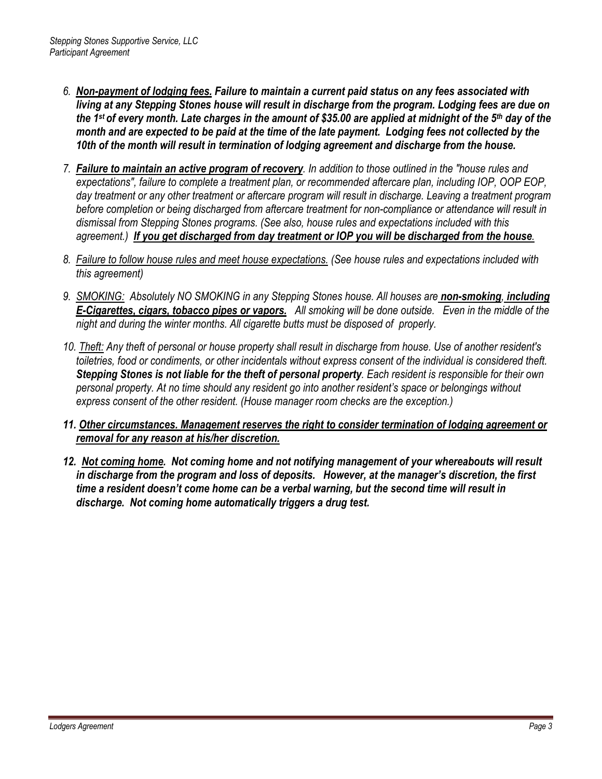- *6. Non-payment of lodging fees. Failure to maintain a current paid status on any fees associated with living at any Stepping Stones house will result in discharge from the program. Lodging fees are due on the 1st of every month. Late charges in the amount of \$35.00 are applied at midnight of the 5th day of the month and are expected to be paid at the time of the late payment. Lodging fees not collected by the 10th of the month will result in termination of lodging agreement and discharge from the house.*
- *7. Failure to maintain an active program of recovery. In addition to those outlined in the "house rules and expectations", failure to complete a treatment plan, or recommended aftercare plan, including IOP, OOP EOP, day treatment or any other treatment or aftercare program will result in discharge. Leaving a treatment program before completion or being discharged from aftercare treatment for non-compliance or attendance will result in dismissal from Stepping Stones programs. (See also, house rules and expectations included with this agreement.) If you get discharged from day treatment or IOP you will be discharged from the house.*
- *8. Failure to follow house rules and meet house expectations. (See house rules and expectations included with this agreement)*
- *9. SMOKING: Absolutely NO SMOKING in any Stepping Stones house. All houses are non-smoking, including E-Cigarettes, cigars, tobacco pipes or vapors. All smoking will be done outside. Even in the middle of the night and during the winter months. All cigarette butts must be disposed of properly.*
- *10. Theft: Any theft of personal or house property shall result in discharge from house. Use of another resident's toiletries, food or condiments, or other incidentals without express consent of the individual is considered theft. Stepping Stones is not liable for the theft of personal property. Each resident is responsible for their own personal property. At no time should any resident go into another resident's space or belongings without express consent of the other resident. (House manager room checks are the exception.)*
- *11. Other circumstances. Management reserves the right to consider termination of lodging agreement or removal for any reason at his/her discretion.*
- *12. Not coming home. Not coming home and not notifying management of your whereabouts will result in discharge from the program and loss of deposits. However, at the manager's discretion, the first time a resident doesn't come home can be a verbal warning, but the second time will result in discharge. Not coming home automatically triggers a drug test.*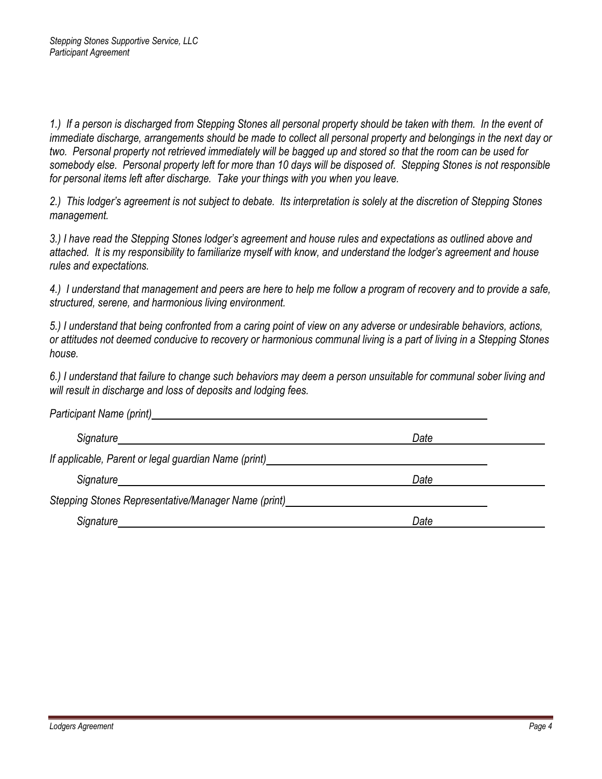1.) If a person is discharged from Stepping Stones all personal property should be taken with them. In the event of *immediate discharge, arrangements should be made to collect all personal property and belongings in the next day or two. Personal property not retrieved immediately will be bagged up and stored so that the room can be used for somebody else. Personal property left for more than 10 days will be disposed of. Stepping Stones is not responsible for personal items left after discharge. Take your things with you when you leave.* 

*2.) This lodger's agreement is not subject to debate. Its interpretation is solely at the discretion of Stepping Stones management.* 

*3.) I have read the Stepping Stones lodger's agreement and house rules and expectations as outlined above and attached. It is my responsibility to familiarize myself with know, and understand the lodger's agreement and house rules and expectations.* 

*4.) I understand that management and peers are here to help me follow a program of recovery and to provide a safe, structured, serene, and harmonious living environment.* 

*5.) I understand that being confronted from a caring point of view on any adverse or undesirable behaviors, actions, or attitudes not deemed conducive to recovery or harmonious communal living is a part of living in a Stepping Stones house.* 

*6.) I understand that failure to change such behaviors may deem a person unsuitable for communal sober living and will result in discharge and loss of deposits and lodging fees.* 

| Participant Name (print)                             |      |  |
|------------------------------------------------------|------|--|
|                                                      | Date |  |
| If applicable, Parent or legal guardian Name (print) |      |  |
| Signature                                            | Date |  |
| Stepping Stones Representative/Manager Name (print)  |      |  |
| Signature                                            | Date |  |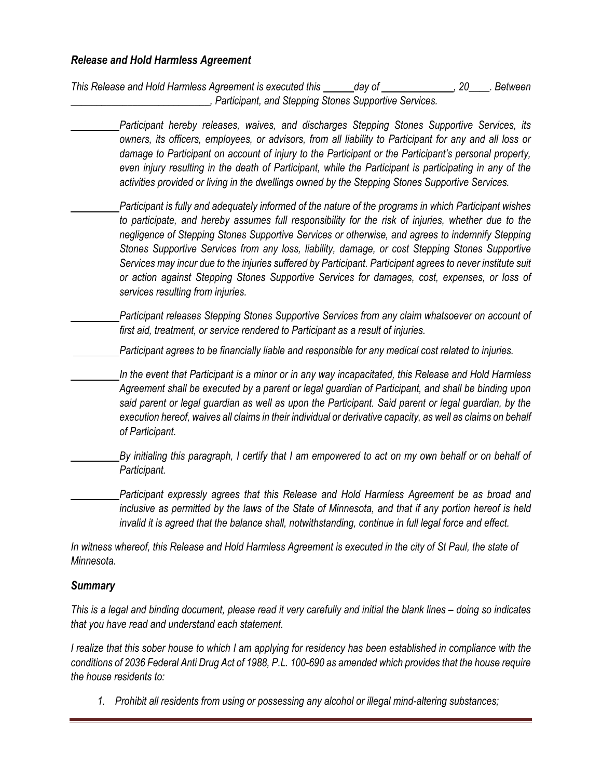#### *Release and Hold Harmless Agreement*

*This Release and Hold Harmless Agreement is executed this day of , 20\_\_\_\_. Between \_\_\_\_\_\_\_\_\_\_\_\_\_\_\_\_\_\_\_\_\_\_\_\_\_\_\_, Participant, and Stepping Stones Supportive Services.*

*Participant hereby releases, waives, and discharges Stepping Stones Supportive Services, its owners, its officers, employees, or advisors, from all liability to Participant for any and all loss or damage to Participant on account of injury to the Participant or the Participant's personal property, even injury resulting in the death of Participant, while the Participant is participating in any of the activities provided or living in the dwellings owned by the Stepping Stones Supportive Services.*

*Participant is fully and adequately informed of the nature of the programs in which Participant wishes to participate, and hereby assumes full responsibility for the risk of injuries, whether due to the negligence of Stepping Stones Supportive Services or otherwise, and agrees to indemnify Stepping Stones Supportive Services from any loss, liability, damage, or cost Stepping Stones Supportive Services may incur due to the injuries suffered by Participant. Participant agrees to never institute suit or action against Stepping Stones Supportive Services for damages, cost, expenses, or loss of services resulting from injuries.*

*Participant releases Stepping Stones Supportive Services from any claim whatsoever on account of first aid, treatment, or service rendered to Participant as a result of injuries.*

*Participant agrees to be financially liable and responsible for any medical cost related to injuries.*

*In the event that Participant is a minor or in any way incapacitated, this Release and Hold Harmless Agreement shall be executed by a parent or legal guardian of Participant, and shall be binding upon said parent or legal guardian as well as upon the Participant. Said parent or legal guardian, by the execution hereof, waives all claims in their individual or derivative capacity, as well as claims on behalf of Participant.*

*By initialing this paragraph, I certify that I am empowered to act on my own behalf or on behalf of Participant.*

*Participant expressly agrees that this Release and Hold Harmless Agreement be as broad and inclusive as permitted by the laws of the State of Minnesota, and that if any portion hereof is held invalid it is agreed that the balance shall, notwithstanding, continue in full legal force and effect.*

*In witness whereof, this Release and Hold Harmless Agreement is executed in the city of St Paul, the state of Minnesota.*

#### *Summary*

*This is a legal and binding document, please read it very carefully and initial the blank lines – doing so indicates that you have read and understand each statement.*

*I realize that this sober house to which I am applying for residency has been established in compliance with the conditions of 2036 Federal Anti Drug Act of 1988, P.L. 100-690 as amended which provides that the house require the house residents to:*

*1. Prohibit all residents from using or possessing any alcohol or illegal mind-altering substances;*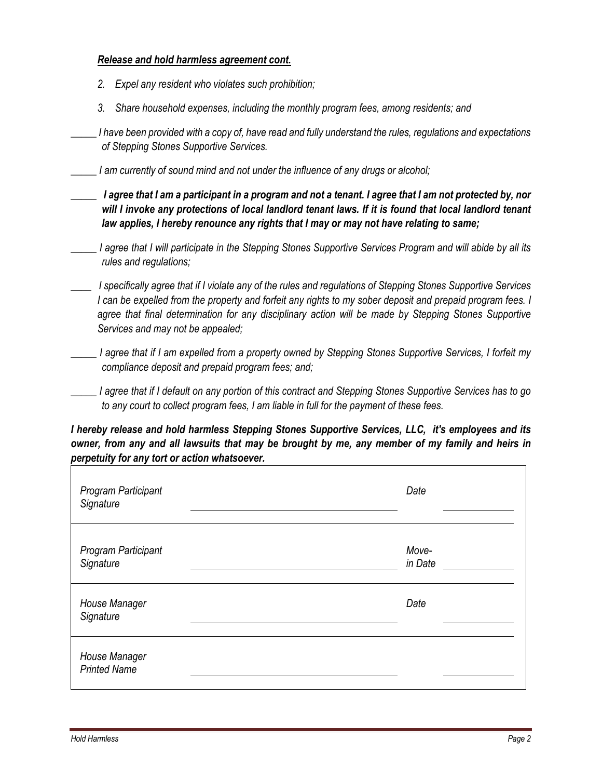#### *Release and hold harmless agreement cont.*

- *2. Expel any resident who violates such prohibition;*
- *3. Share household expenses, including the monthly program fees, among residents; and*

*\_\_\_\_\_ I have been provided with a copy of, have read and fully understand the rules, regulations and expectations of Stepping Stones Supportive Services.*

*\_\_\_\_\_ I am currently of sound mind and not under the influence of any drugs or alcohol;*

*\_\_\_\_\_ I agree that I am a participant in a program and not a tenant. I agree that I am not protected by, nor*  will I invoke any protections of local landlord tenant laws. If it is found that local landlord tenant *law applies, I hereby renounce any rights that I may or may not have relating to same;*

*\_\_\_\_\_ I agree that I will participate in the Stepping Stones Supportive Services Program and will abide by all its rules and regulations;*

*\_\_\_\_ I specifically agree that if I violate any of the rules and regulations of Stepping Stones Supportive Services I can be expelled from the property and forfeit any rights to my sober deposit and prepaid program fees. I agree that final determination for any disciplinary action will be made by Stepping Stones Supportive Services and may not be appealed;*

- *\_\_\_\_\_ I agree that if I am expelled from a property owned by Stepping Stones Supportive Services, I forfeit my compliance deposit and prepaid program fees; and;*
- *\_\_\_\_\_ I agree that if I default on any portion of this contract and Stepping Stones Supportive Services has to go to any court to collect program fees, I am liable in full for the payment of these fees.*

*I hereby release and hold harmless Stepping Stones Supportive Services, LLC, it's employees and its owner, from any and all lawsuits that may be brought by me, any member of my family and heirs in perpetuity for any tort or action whatsoever.*

| Program Participant<br>Signature     | Date             |
|--------------------------------------|------------------|
| Program Participant<br>Signature     | Move-<br>in Date |
| House Manager<br>Signature           | Date             |
| House Manager<br><b>Printed Name</b> |                  |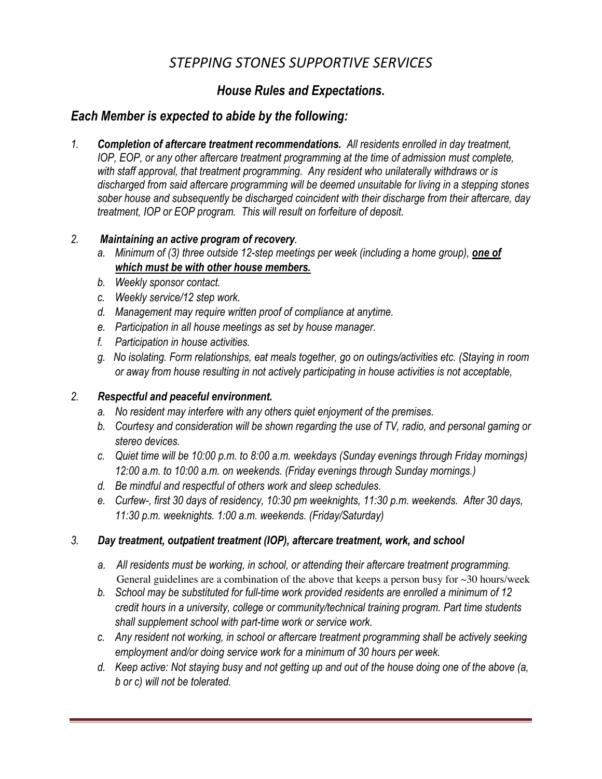# *STEPPING STONES SUPPORTIVE SERVICES*

# *House Rules and Expectations.*

# *Each Member is expected to abide by the following:*

*1. Completion of aftercare treatment recommendations. All residents enrolled in day treatment, IOP, EOP, or any other aftercare treatment programming at the time of admission must complete, with staff approval, that treatment programming. Any resident who unilaterally withdraws or is discharged from said aftercare programming will be deemed unsuitable for living in a stepping stones sober house and subsequently be discharged coincident with their discharge from their aftercare, day treatment, IOP or EOP program. This will result on forfeiture of deposit.* 

## *2. Maintaining an active program of recovery.*

- *a. Minimum of (3) three outside 12-step meetings per week (including a home group), one of which must be with other house members.*
- *b. Weekly sponsor contact.*
- *c. Weekly service/12 step work.*
- *d. Management may require written proof of compliance at anytime.*
- *e. Participation in all house meetings as set by house manager.*
- *f. Participation in house activities.*
- *g. No isolating. Form relationships, eat meals together, go on outings/activities etc. (Staying in room or away from house resulting in not actively participating in house activities is not acceptable,*

# *2. Respectful and peaceful environment.*

- *a. No resident may interfere with any others quiet enjoyment of the premises.*
- *b. Courtesy and consideration will be shown regarding the use of TV, radio, and personal gaming or stereo devices.*
- *c. Quiet time will be 10:00 p.m. to 8:00 a.m. weekdays (Sunday evenings through Friday mornings) 12:00 a.m. to 10:00 a.m. on weekends. (Friday evenings through Sunday mornings.)*
- *d. Be mindful and respectful of others work and sleep schedules.*
- *e. Curfew-, first 30 days of residency, 10:30 pm weeknights, 11:30 p.m. weekends. After 30 days, 11:30 p.m. weeknights. 1:00 a.m. weekends. (Friday/Saturday)*

# *3. Day treatment, outpatient treatment (IOP), aftercare treatment, work, and school*

- *a. All residents must be working, in school, or attending their aftercare treatment programming.*  General guidelines are a combination of the above that keeps a person busy for  $\sim$  30 hours/week
- *b. School may be substituted for full-time work provided residents are enrolled a minimum of 12 credit hours in a university, college or community/technical training program. Part time students shall supplement school with part-time work or service work.*
- *c. Any resident not working, in school or aftercare treatment programming shall be actively seeking employment and/or doing service work for a minimum of 30 hours per week.*
- *d. Keep active: Not staying busy and not getting up and out of the house doing one of the above (a, b or c) will not be tolerated.*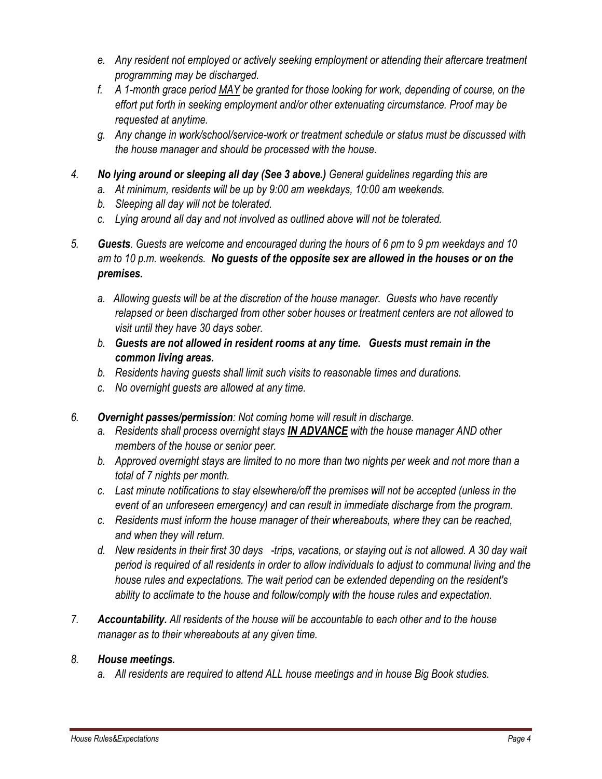- *e. Any resident not employed or actively seeking employment or attending their aftercare treatment programming may be discharged.*
- *f. A 1-month grace period MAY be granted for those looking for work, depending of course, on the effort put forth in seeking employment and/or other extenuating circumstance. Proof may be requested at anytime.*
- *g. Any change in work/school/service-work or treatment schedule or status must be discussed with the house manager and should be processed with the house.*
- *4. No lying around or sleeping all day (See 3 above.) General guidelines regarding this are*
	- *a. At minimum, residents will be up by 9:00 am weekdays, 10:00 am weekends.*
	- *b. Sleeping all day will not be tolerated.*
	- *c. Lying around all day and not involved as outlined above will not be tolerated.*
- *5. Guests. Guests are welcome and encouraged during the hours of 6 pm to 9 pm weekdays and 10 am to 10 p.m. weekends. No guests of the opposite sex are allowed in the houses or on the premises.* 
	- *a. Allowing guests will be at the discretion of the house manager. Guests who have recently relapsed or been discharged from other sober houses or treatment centers are not allowed to visit until they have 30 days sober.*
	- *b. Guests are not allowed in resident rooms at any time. Guests must remain in the common living areas.*
	- *b. Residents having guests shall limit such visits to reasonable times and durations.*
	- *c. No overnight guests are allowed at any time.*
- *6. Overnight passes/permission: Not coming home will result in discharge.* 
	- *a. Residents shall process overnight stays IN ADVANCE with the house manager AND other members of the house or senior peer.*
	- *b. Approved overnight stays are limited to no more than two nights per week and not more than a total of 7 nights per month.*
	- *c. Last minute notifications to stay elsewhere/off the premises will not be accepted (unless in the event of an unforeseen emergency) and can result in immediate discharge from the program.*
	- *c. Residents must inform the house manager of their whereabouts, where they can be reached, and when they will return.*
	- *d. New residents in their first 30 days -trips, vacations, or staying out is not allowed. A 30 day wait period is required of all residents in order to allow individuals to adjust to communal living and the house rules and expectations. The wait period can be extended depending on the resident's ability to acclimate to the house and follow/comply with the house rules and expectation.*
- *7. Accountability. All residents of the house will be accountable to each other and to the house manager as to their whereabouts at any given time.*

## *8. House meetings.*

*a. All residents are required to attend ALL house meetings and in house Big Book studies.*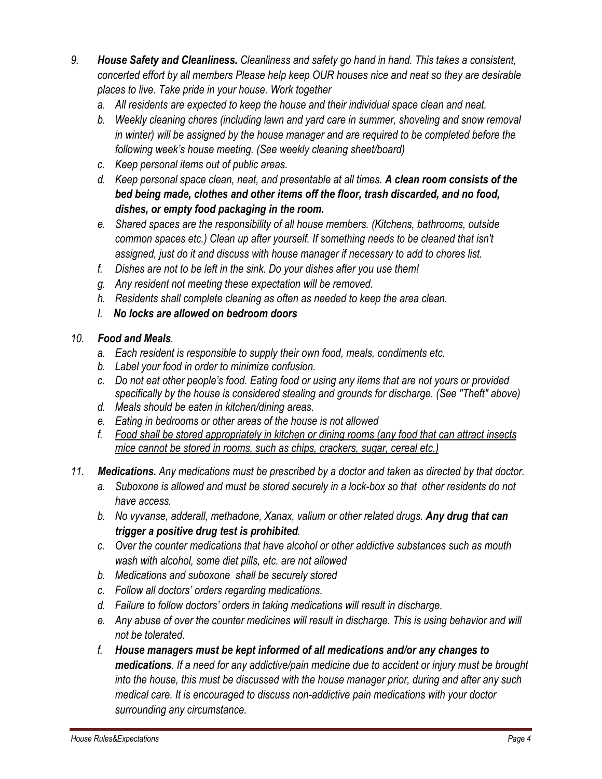- *9. House Safety and Cleanliness. Cleanliness and safety go hand in hand. This takes a consistent, concerted effort by all members Please help keep OUR houses nice and neat so they are desirable places to live. Take pride in your house. Work together*
	- *a. All residents are expected to keep the house and their individual space clean and neat.*
	- *b. Weekly cleaning chores (including lawn and yard care in summer, shoveling and snow removal in winter) will be assigned by the house manager and are required to be completed before the following week's house meeting. (See weekly cleaning sheet/board)*
	- *c. Keep personal items out of public areas.*
	- *d. Keep personal space clean, neat, and presentable at all times. A clean room consists of the bed being made, clothes and other items off the floor, trash discarded, and no food, dishes, or empty food packaging in the room.*
	- *e. Shared spaces are the responsibility of all house members. (Kitchens, bathrooms, outside common spaces etc.) Clean up after yourself. If something needs to be cleaned that isn't assigned, just do it and discuss with house manager if necessary to add to chores list.*
	- *f. Dishes are not to be left in the sink. Do your dishes after you use them!*
	- *g. Any resident not meeting these expectation will be removed.*
	- *h. Residents shall complete cleaning as often as needed to keep the area clean.*
	- *I. No locks are allowed on bedroom doors*

## *10. Food and Meals.*

- *a. Each resident is responsible to supply their own food, meals, condiments etc.*
- *b. Label your food in order to minimize confusion.*
- *c. Do not eat other people's food. Eating food or using any items that are not yours or provided specifically by the house is considered stealing and grounds for discharge. (See "Theft" above)*
- *d. Meals should be eaten in kitchen/dining areas.*
- *e. Eating in bedrooms or other areas of the house is not allowed*
- *f. Food shall be stored appropriately in kitchen or dining rooms (any food that can attract insects mice cannot be stored in rooms, such as chips, crackers, sugar, cereal etc.)*
- *11. Medications. Any medications must be prescribed by a doctor and taken as directed by that doctor.*
	- *a. Suboxone is allowed and must be stored securely in a lock-box so that other residents do not have access.*
	- *b. No vyvanse, adderall, methadone, Xanax, valium or other related drugs. Any drug that can trigger a positive drug test is prohibited.*
	- *c. Over the counter medications that have alcohol or other addictive substances such as mouth wash with alcohol, some diet pills, etc. are not allowed*
	- *b. Medications and suboxone shall be securely stored*
	- *c. Follow all doctors' orders regarding medications.*
	- *d. Failure to follow doctors' orders in taking medications will result in discharge.*
	- *e. Any abuse of over the counter medicines will result in discharge. This is using behavior and will not be tolerated.*
	- *f. House managers must be kept informed of all medications and/or any changes to medications. If a need for any addictive/pain medicine due to accident or injury must be brought into the house, this must be discussed with the house manager prior, during and after any such medical care. It is encouraged to discuss non-addictive pain medications with your doctor surrounding any circumstance.*